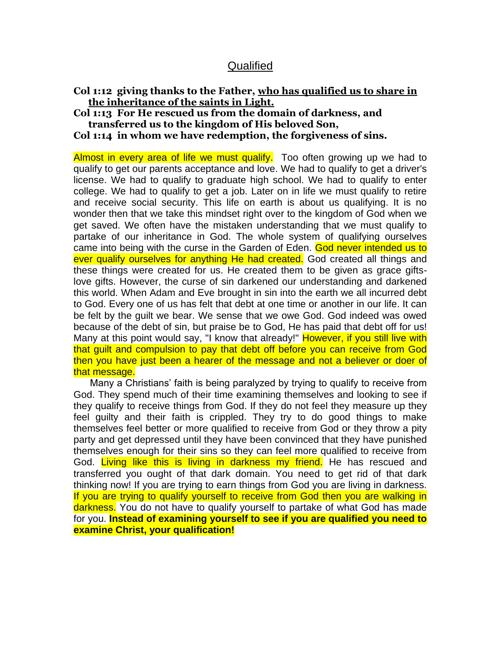# **Qualified**

## **Col 1:12 giving thanks to the Father, who has qualified us to share in the inheritance of the saints in Light.**

#### **Col 1:13 For He rescued us from the domain of darkness, and transferred us to the kingdom of His beloved Son,**

**Col 1:14 in whom we have redemption, the forgiveness of sins.** 

Almost in every area of life we must qualify. Too often growing up we had to qualify to get our parents acceptance and love. We had to qualify to get a driver's license. We had to qualify to graduate high school. We had to qualify to enter college. We had to qualify to get a job. Later on in life we must qualify to retire and receive social security. This life on earth is about us qualifying. It is no wonder then that we take this mindset right over to the kingdom of God when we get saved. We often have the mistaken understanding that we must qualify to partake of our inheritance in God. The whole system of qualifying ourselves came into being with the curse in the Garden of Eden. God never intended us to ever qualify ourselves for anything He had created. God created all things and these things were created for us. He created them to be given as grace giftslove gifts. However, the curse of sin darkened our understanding and darkened this world. When Adam and Eve brought in sin into the earth we all incurred debt to God. Every one of us has felt that debt at one time or another in our life. It can be felt by the guilt we bear. We sense that we owe God. God indeed was owed because of the debt of sin, but praise be to God, He has paid that debt off for us! Many at this point would say, "I know that already!" However, if you still live with that guilt and compulsion to pay that debt off before you can receive from God then you have just been a hearer of the message and not a believer or doer of that message.

 Many a Christians' faith is being paralyzed by trying to qualify to receive from God. They spend much of their time examining themselves and looking to see if they qualify to receive things from God. If they do not feel they measure up they feel guilty and their faith is crippled. They try to do good things to make themselves feel better or more qualified to receive from God or they throw a pity party and get depressed until they have been convinced that they have punished themselves enough for their sins so they can feel more qualified to receive from God. Living like this is living in darkness my friend. He has rescued and transferred you ought of that dark domain. You need to get rid of that dark thinking now! If you are trying to earn things from God you are living in darkness. If you are trying to qualify yourself to receive from God then you are walking in darkness. You do not have to qualify yourself to partake of what God has made for you. **Instead of examining yourself to see if you are qualified you need to examine Christ, your qualification!**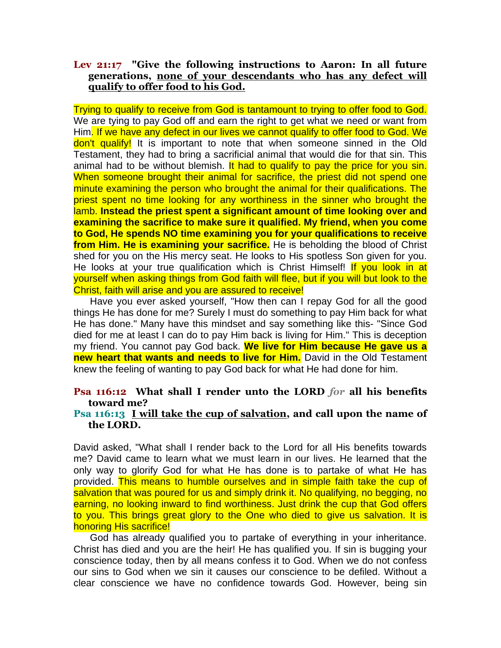## **Lev 21:17 "Give the following instructions to Aaron: In all future generations, none of your descendants who has any defect will qualify to offer food to his God.**

Trying to qualify to receive from God is tantamount to trying to offer food to God. We are tying to pay God off and earn the right to get what we need or want from Him. If we have any defect in our lives we cannot qualify to offer food to God. We don't qualify! It is important to note that when someone sinned in the Old Testament, they had to bring a sacrificial animal that would die for that sin. This animal had to be without blemish. It had to qualify to pay the price for you sin. When someone brought their animal for sacrifice, the priest did not spend one minute examining the person who brought the animal for their qualifications. The priest spent no time looking for any worthiness in the sinner who brought the lamb. **Instead the priest spent a significant amount of time looking over and examining the sacrifice to make sure it qualified. My friend, when you come to God, He spends NO time examining you for your qualifications to receive from Him. He is examining your sacrifice.** He is beholding the blood of Christ shed for you on the His mercy seat. He looks to His spotless Son given for you. He looks at your true qualification which is Christ Himself! If you look in at yourself when asking things from God faith will flee, but if you will but look to the Christ, faith will arise and you are assured to receive!

 Have you ever asked yourself, "How then can I repay God for all the good things He has done for me? Surely I must do something to pay Him back for what He has done." Many have this mindset and say something like this- "Since God died for me at least I can do to pay Him back is living for Him." This is deception my friend. You cannot pay God back. **We live for Him because He gave us a new heart that wants and needs to live for Him.** David in the Old Testament knew the feeling of wanting to pay God back for what He had done for him.

## **Psa 116:12 What shall I render unto the LORD** *for* **all his benefits toward me?**

#### **Psa 116:13 I will take the cup of salvation, and call upon the name of the LORD.**

David asked, "What shall I render back to the Lord for all His benefits towards me? David came to learn what we must learn in our lives. He learned that the only way to glorify God for what He has done is to partake of what He has provided. This means to humble ourselves and in simple faith take the cup of salvation that was poured for us and simply drink it. No qualifying, no begging, no earning, no looking inward to find worthiness. Just drink the cup that God offers to you. This brings great glory to the One who died to give us salvation. It is honoring His sacrifice!

 God has already qualified you to partake of everything in your inheritance. Christ has died and you are the heir! He has qualified you. If sin is bugging your conscience today, then by all means confess it to God. When we do not confess our sins to God when we sin it causes our conscience to be defiled. Without a clear conscience we have no confidence towards God. However, being sin